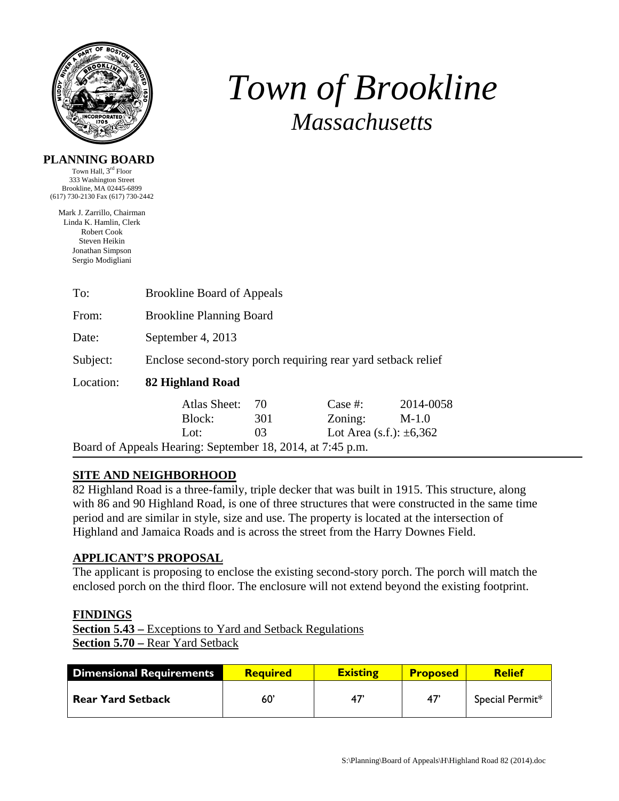

# *Town of Brookline Massachusetts*

#### **PLANNING BOARD**

Town Hall, 3rd Floor 333 Washington Street Brookline, MA 02445-6899 (617) 730-2130 Fax (617) 730-2442

Mark J. Zarrillo, Chairman Linda K. Hamlin, Clerk Robert Cook Steven Heikin Jonathan Simpson Sergio Modigliani

| To:                                                        | <b>Brookline Board of Appeals</b>                             |     |                                 |           |  |  |
|------------------------------------------------------------|---------------------------------------------------------------|-----|---------------------------------|-----------|--|--|
| From:                                                      | <b>Brookline Planning Board</b>                               |     |                                 |           |  |  |
| Date:                                                      | September 4, 2013                                             |     |                                 |           |  |  |
| Subject:                                                   | Enclose second-story porch requiring rear yard setback relief |     |                                 |           |  |  |
| Location:                                                  | 82 Highland Road                                              |     |                                 |           |  |  |
|                                                            | <b>Atlas Sheet:</b>                                           | 70  | Case #:                         | 2014-0058 |  |  |
|                                                            | Block:                                                        | 301 | Zoning:                         | $M-1.0$   |  |  |
|                                                            | Lot:                                                          | 03  | Lot Area $(s.f.)$ : $\pm 6,362$ |           |  |  |
| Board of Appeals Hearing: September 18, 2014, at 7:45 p.m. |                                                               |     |                                 |           |  |  |

## **SITE AND NEIGHBORHOOD**

82 Highland Road is a three-family, triple decker that was built in 1915. This structure, along with 86 and 90 Highland Road, is one of three structures that were constructed in the same time period and are similar in style, size and use. The property is located at the intersection of Highland and Jamaica Roads and is across the street from the Harry Downes Field.

### **APPLICANT'S PROPOSAL**

The applicant is proposing to enclose the existing second-story porch. The porch will match the enclosed porch on the third floor. The enclosure will not extend beyond the existing footprint.

#### **FINDINGS**

**Section 5.43 –** Exceptions to Yard and Setback Regulations **Section 5.70 –** Rear Yard Setback

| <b>Dimensional Requirements</b> | <b>Required</b> | <b>Existing</b> | <b>Proposed</b> | <b>Relief</b>   |
|---------------------------------|-----------------|-----------------|-----------------|-----------------|
| <b>Rear Yard Setback</b>        | 60'             | 47              | -47             | Special Permit* |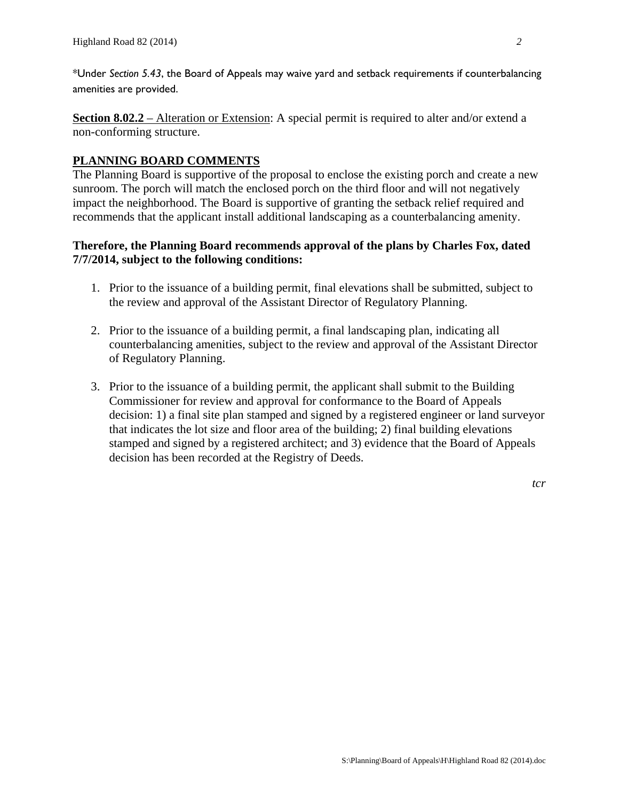\*Under *Section 5.43*, the Board of Appeals may waive yard and setback requirements if counterbalancing amenities are provided.

**Section 8.02.2** – Alteration or Extension: A special permit is required to alter and/or extend a non-conforming structure.

### **PLANNING BOARD COMMENTS**

The Planning Board is supportive of the proposal to enclose the existing porch and create a new sunroom. The porch will match the enclosed porch on the third floor and will not negatively impact the neighborhood. The Board is supportive of granting the setback relief required and recommends that the applicant install additional landscaping as a counterbalancing amenity.

#### **Therefore, the Planning Board recommends approval of the plans by Charles Fox, dated 7/7/2014, subject to the following conditions:**

- 1. Prior to the issuance of a building permit, final elevations shall be submitted, subject to the review and approval of the Assistant Director of Regulatory Planning.
- 2. Prior to the issuance of a building permit, a final landscaping plan, indicating all counterbalancing amenities, subject to the review and approval of the Assistant Director of Regulatory Planning.
- 3. Prior to the issuance of a building permit, the applicant shall submit to the Building Commissioner for review and approval for conformance to the Board of Appeals decision: 1) a final site plan stamped and signed by a registered engineer or land surveyor that indicates the lot size and floor area of the building; 2) final building elevations stamped and signed by a registered architect; and 3) evidence that the Board of Appeals decision has been recorded at the Registry of Deeds.